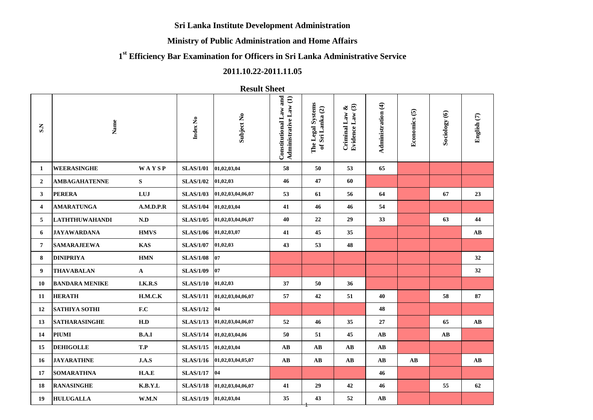### **Sri Lanka Institute Development Administration**

### **Ministry of Public Administration and Home Affairs**

# **1 st Efficiency Bar Examination for Officers in Sri Lanka Administrative Service**

## **2011.10.22-2011.11.05**

## **Result Sheet**

| S.N                     | Name                  |              | Index No         | Subject No        | Constitutional Law and<br>Administrative Law (1) | The Legal Systems<br>of Sri Lanka (2) | Evidence Law (3)<br>ళ<br>Criminal Law | Administration (4)     | Economics (5)          | Sociology (6)          | English (7)            |
|-------------------------|-----------------------|--------------|------------------|-------------------|--------------------------------------------------|---------------------------------------|---------------------------------------|------------------------|------------------------|------------------------|------------------------|
| 1                       | <b>WEERASINGHE</b>    | WAYSP        | <b>SLAS/1/01</b> | 01,02,03,04       | 58                                               | 50                                    | 53                                    | 65                     |                        |                        |                        |
| $\overline{2}$          | <b>AMBAGAHATENNE</b>  | S            | <b>SLAS/1/02</b> | 01,02,03          | 46                                               | 47                                    | 60                                    |                        |                        |                        |                        |
| 3                       | <b>PERERA</b>         | LUJ          | <b>SLAS/1/03</b> | 01,02,03,04,06,07 | 53                                               | 61                                    | 56                                    | 64                     |                        | 67                     | 23                     |
| $\overline{\mathbf{4}}$ | <b>AMARATUNGA</b>     | A.M.D.P.R    | <b>SLAS/1/04</b> | 01,02,03,04       | 41                                               | 46                                    | 46                                    | 54                     |                        |                        |                        |
| 5                       | <b>LATHTHUWAHANDI</b> | N.D          | <b>SLAS/1/05</b> | 01,02,03,04,06,07 | 40                                               | 22                                    | 29                                    | 33                     |                        | 63                     | 44                     |
| 6                       | <b>JAYAWARDANA</b>    | <b>HMVS</b>  | <b>SLAS/1/06</b> | 01,02,03,07       | 41                                               | 45                                    | 35                                    |                        |                        |                        | AB                     |
| 7                       | <b>SAMARAJEEWA</b>    | <b>KAS</b>   | <b>SLAS/1/07</b> | 01,02,03          | 43                                               | 53                                    | 48                                    |                        |                        |                        |                        |
| 8                       | <b>DINIPRIYA</b>      | <b>HMN</b>   | <b>SLAS/1/08</b> | 07                |                                                  |                                       |                                       |                        |                        |                        | 32                     |
| 9                       | <b>THAVABALAN</b>     | $\mathbf{A}$ | <b>SLAS/1/09</b> | 07                |                                                  |                                       |                                       |                        |                        |                        | 32                     |
| 10                      | <b>BANDARA MENIKE</b> | I.K.R.S      | <b>SLAS/1/10</b> | 01,02,03          | 37                                               | 50                                    | 36                                    |                        |                        |                        |                        |
| 11                      | <b>HERATH</b>         | H.M.C.K      | <b>SLAS/1/11</b> | 01,02,03,04,06,07 | 57                                               | 42                                    | 51                                    | 40                     |                        | 58                     | 87                     |
| 12                      | <b>SATHIYA SOTHI</b>  | F.C          | <b>SLAS/1/12</b> | 04                |                                                  |                                       |                                       | 48                     |                        |                        |                        |
| 13                      | <b>SATHARASINGHE</b>  | H.D          | <b>SLAS/1/13</b> | 01,02,03,04,06,07 | 52                                               | 46                                    | 35                                    | 27                     |                        | 65                     | $\mathbf{A}\mathbf{B}$ |
| 14                      | <b>PIUMI</b>          | B.A.I        | <b>SLAS/1/14</b> | 01,02,03,04,06    | 50                                               | 51                                    | 45                                    | AB                     |                        | $\mathbf{A}\mathbf{B}$ |                        |
| 15                      | <b>DEHIGOLLE</b>      | T.P          | <b>SLAS/1/15</b> | 01,02,03,04       | AB                                               | AB                                    | $\mathbf{A}\mathbf{B}$                | $\mathbf{A}\mathbf{B}$ |                        |                        |                        |
| 16                      | <b>JAYARATHNE</b>     | J.A.S        | <b>SLAS/1/16</b> | 01,02,03,04,05,07 | $\mathbf{A}\mathbf{B}$                           | $\mathbf{A}\mathbf{B}$                | $\mathbf{A}\mathbf{B}$                | $\mathbf{A}\mathbf{B}$ | $\mathbf{A}\mathbf{B}$ |                        | $\mathbf{A}\mathbf{B}$ |
| 17                      | <b>SOMARATHNA</b>     | H.A.E        | <b>SLAS/1/17</b> | 04                |                                                  |                                       |                                       | 46                     |                        |                        |                        |
| 18                      | <b>RANASINGHE</b>     | K.B.Y.L      | <b>SLAS/1/18</b> | 01,02,03,04,06,07 | 41                                               | 29                                    | 42                                    | 46                     |                        | 55                     | 62                     |
| 19                      | <b>HULUGALLA</b>      | W.M.N        | <b>SLAS/1/19</b> | 01,02,03,04       | 35                                               | 43                                    | 52                                    | $\mathbf{A}\mathbf{B}$ |                        |                        |                        |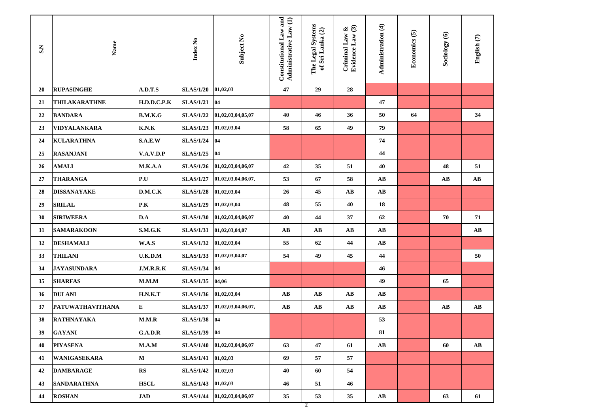| $S_{\rm 5}$ | Name                    |                           | Index No         | Subject No         | Constitutional Law and<br>Administrative Law (1) | The Legal Systems<br>of Sri Lanka (2) | Evidence Law (3)<br>Criminal Law & | Administration (4)     | Economics (5) | Sociology (6)          | English (7)            |
|-------------|-------------------------|---------------------------|------------------|--------------------|--------------------------------------------------|---------------------------------------|------------------------------------|------------------------|---------------|------------------------|------------------------|
| 20          | <b>RUPASINGHE</b>       | A.D.T.S                   | <b>SLAS/1/20</b> | 01,02,03           | 47                                               | 29                                    | 28                                 |                        |               |                        |                        |
| 21          | <b>THILAKARATHNE</b>    | H.D.D.C.P.K               | <b>SLAS/1/21</b> | 04                 |                                                  |                                       |                                    | 47                     |               |                        |                        |
| 22          | <b>BANDARA</b>          | B.M.K.G                   | <b>SLAS/1/22</b> | 01,02,03,04,05,07  | 40                                               | 46                                    | 36                                 | 50                     | 64            |                        | 34                     |
| 23          | VIDYALANKARA            | K.N.K                     | <b>SLAS/1/23</b> | 01,02,03,04        | 58                                               | 65                                    | 49                                 | 79                     |               |                        |                        |
| 24          | <b>KULARATHNA</b>       | S.A.E.W                   | <b>SLAS/1/24</b> | 04                 |                                                  |                                       |                                    | 74                     |               |                        |                        |
| 25          | <b>RASANJANI</b>        | V.A.V.D.P                 | <b>SLAS/1/25</b> | 04                 |                                                  |                                       |                                    | 44                     |               |                        |                        |
| 26          | <b>AMALI</b>            | M.K.A.A                   | <b>SLAS/1/26</b> | 01,02,03,04,06,07  | 42                                               | 35                                    | 51                                 | 40                     |               | 48                     | 51                     |
| 27          | <b>THARANGA</b>         | P.U                       | <b>SLAS/1/27</b> | 01,02,03,04,06,07, | 53                                               | 67                                    | 58                                 | AВ                     |               | AB                     | AB                     |
| 28          | <b>DISSANAYAKE</b>      | D.M.C.K                   | <b>SLAS/1/28</b> | 01,02,03,04        | 26                                               | 45                                    | AB                                 | AВ                     |               |                        |                        |
| 29          | <b>SRILAL</b>           | P.K                       | <b>SLAS/1/29</b> | 01,02,03,04        | 48                                               | 55                                    | 40                                 | 18                     |               |                        |                        |
| 30          | <b>SIRIWEERA</b>        | D.A                       | <b>SLAS/1/30</b> | 01,02,03,04,06,07  | 40                                               | 44                                    | 37                                 | 62                     |               | 70                     | 71                     |
| 31          | <b>SAMARAKOON</b>       | S.M.G.K                   | <b>SLAS/1/31</b> | 01,02,03,04,07     | AB                                               | AB                                    | AB                                 | AВ                     |               |                        | $\mathbf{A}\mathbf{B}$ |
| 32          | <b>DESHAMALI</b>        | W.A.S                     | <b>SLAS/1/32</b> | 01,02,03,04        | 55                                               | 62                                    | 44                                 | $\mathbf{A}\mathbf{B}$ |               |                        |                        |
| 33          | <b>THILANI</b>          | U.K.D.M                   | <b>SLAS/1/33</b> | 01,02,03,04,07     | 54                                               | 49                                    | 45                                 | 44                     |               |                        | 50                     |
| 34          | <b>JAYASUNDARA</b>      | J.M.R.R.K                 | <b>SLAS/1/34</b> | 04                 |                                                  |                                       |                                    | 46                     |               |                        |                        |
| 35          | <b>SHARFAS</b>          | M.M.M                     | <b>SLAS/1/35</b> | 04,06              |                                                  |                                       |                                    | 49                     |               | 65                     |                        |
| 36          | <b>DULANI</b>           | H.N.K.T                   | <b>SLAS/1/36</b> | 01,02,03,04        | AB                                               | AB                                    | $\mathbf{A}\mathbf{B}$             | AВ                     |               |                        |                        |
| 37          | <b>PATUWATHAVITHANA</b> | E                         | <b>SLAS/1/37</b> | 01,02,03,04,06,07, | $\mathbf{A}\mathbf{B}$                           | $\mathbf{A}\mathbf{B}$                | $\mathbf{A}\mathbf{B}$             | $\mathbf{A}\mathbf{B}$ |               | $\mathbf{A}\mathbf{B}$ | $\mathbf{A}\mathbf{B}$ |
| 38          | <b>RATHNAYAKA</b>       | M.M.R                     | <b>SLAS/1/38</b> | 04                 |                                                  |                                       |                                    | 53                     |               |                        |                        |
| 39          | <b>GAYANI</b>           | G.A.D.R                   | SLAS/1/39 04     |                    |                                                  |                                       |                                    | 81                     |               |                        |                        |
| 40          | <b>PIYASENA</b>         | M.A.M                     | <b>SLAS/1/40</b> | 01,02,03,04,06,07  | 63                                               | 47                                    | 61                                 | $\mathbf{A}\mathbf{B}$ |               | 60                     | $\mathbf{A}\mathbf{B}$ |
| 41          | <b>WANIGASEKARA</b>     | ${\bf M}$                 | <b>SLAS/1/41</b> | 01,02,03           | 69                                               | 57                                    | 57                                 |                        |               |                        |                        |
| 42          | <b>DAMBARAGE</b>        | ${\mathbf R} {\mathbf S}$ | <b>SLAS/1/42</b> | 01,02,03           | 40                                               | 60                                    | 54                                 |                        |               |                        |                        |
| 43          | <b>SANDARATHNA</b>      | <b>HSCL</b>               | <b>SLAS/1/43</b> | 01,02,03           | 46                                               | 51                                    | 46                                 |                        |               |                        |                        |
| 44          | <b>ROSHAN</b>           | <b>JAD</b>                | <b>SLAS/1/44</b> | 01,02,03,04,06,07  | 35                                               | 53                                    | 35                                 | $\mathbf{A}\mathbf{B}$ |               | 63                     | 61                     |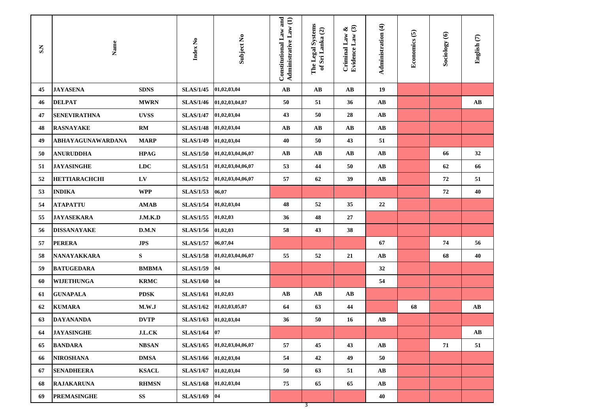| $\mathbf{A}\mathbf{B}$<br>19<br><b>JAYASENA</b><br><b>SDNS</b><br><b>SLAS/1/45</b><br>AB<br>AB<br>45<br>01,02,03,04<br>46<br><b>DELPAT</b><br><b>MWRN</b><br><b>SLAS/1/46</b><br>01,02,03,04,07<br>50<br>51<br>36<br>AB<br>AВ<br><b>SENEVIRATHNA</b><br><b>UVSS</b><br><b>SLAS/1/47</b><br>43<br>47<br>01,02,03,04<br>50<br>28<br>AB<br>48<br><b>RASNAYAKE</b><br>RM<br><b>SLAS/1/48</b><br>01,02,03,04<br>$\mathbf{A}\mathbf{B}$<br>AB<br>$\mathbf{A}\mathbf{B}$<br>$\mathbf{A}\mathbf{B}$<br>ABHAYAGUNAWARDANA<br><b>MARP</b><br><b>SLAS/1/49</b><br>40<br>51<br>49<br>01,02,03,04<br>50<br>43<br>$\mathbf{A}\mathbf{B}$<br>32<br><b>ANURUDDHA</b><br><b>HPAG</b><br><b>SLAS/1/50</b><br>AB<br>AB<br>$\mathbf{A}\mathbf{B}$<br>66<br>50<br>01,02,03,04,06,07<br><b>JAYASINGHE</b><br><b>LDC</b><br><b>SLAS/1/51</b><br>53<br>51<br>01,02,03,04,06,07<br>44<br>50<br>AB<br>62<br>66<br>LV<br><b>SLAS/1/52</b><br>57<br>39<br>72<br>52<br><b>HETTIARACHCHI</b><br>01,02,03,04,06,07<br>62<br>AB<br>51<br>72<br>40<br><b>WPP</b><br><b>SLAS/1/53</b><br>06,07<br>53<br><b>INDIKA</b><br><b>SLAS/1/54</b><br>48<br>35<br>54<br><b>ATAPATTU</b><br><b>AMAB</b><br>01,02,03,04<br>52<br>22<br><b>JAYASEKARA</b><br><b>SLAS/1/55</b><br>55<br>J.M.K.D<br>01,02,03<br>27<br>36<br>48<br>58<br>38<br><b>DISSANAYAKE</b><br><b>SLAS/1/56</b><br>01,02,03<br>43<br>56<br>D.M.N<br><b>SLAS/1/57</b><br><b>PERERA</b><br><b>JPS</b><br>06,07,04<br>57<br>67<br>74<br>56<br>${\bf S}$<br>NANAYAKKARA<br><b>SLAS/1/58</b><br>58<br>01,02,03,04,06,07<br>55<br>52<br>21<br>AB<br>68<br>40<br><b>BATUGEDARA</b><br><b>BMBMA</b><br><b>SLAS/1/59</b><br>04<br>32<br>59<br>04<br><b>WIJETHUNGA</b><br><b>KRMC</b><br><b>SLAS/1/60</b><br>54<br>60<br><b>GUNAPALA</b><br><b>PDSK</b><br><b>SLAS/1/61</b><br>01,02,03<br>61<br>AB<br>AB<br>$\mathbf{A}\mathbf{B}$<br><b>KUMARA</b><br><b>SLAS/1/62</b><br>64<br>63<br>44<br>68<br>AB<br>62<br>M.W.J<br>01,02,03,05,07<br><b>DAYANANDA</b><br><b>DVTP</b><br><b>SLAS/1/63</b><br>63<br>01,02,03,04<br>36<br>50<br>AB<br>16<br><b>JAYASINGHE</b><br>$_{\rm J.L.CK}$<br>SLAS/1/64 07<br>$\mathbf{A}\mathbf{B}$<br>64<br><b>BANDARA</b><br><b>NBSAN</b><br><b>SLAS/1/65</b><br>57<br>45<br>71<br>51<br>65<br>01,02,03,04,06,07<br>43<br>$\mathbf{A}\mathbf{B}$<br>01,02,03,04<br><b>NIROSHANA</b><br><b>DMSA</b><br><b>SLAS/1/66</b><br>54<br>42<br>49<br>50<br>66<br><b>SLAS/1/67</b><br>50<br>63<br>51<br>$\mathbf{A}\mathbf{B}$<br>67<br><b>SENADHEERA</b><br><b>KSACL</b><br>01,02,03,04<br>01,02,03,04<br>68<br><b>RAJAKARUNA</b><br><b>RHMSN</b><br><b>SLAS/1/68</b><br>75<br>65<br>65<br>$\mathbf{A}\mathbf{B}$ | SN | Name               |                        | Index No         | Subject No | Constitutional Law and<br>Administrative Law (1) | The Legal Systems<br>of Sri Lanka (2) | Evidence Law (3)<br>Criminal Law & | Administration (4) | Economics (5) | Sociology (6) | English <sup>(7)</sup> |
|-------------------------------------------------------------------------------------------------------------------------------------------------------------------------------------------------------------------------------------------------------------------------------------------------------------------------------------------------------------------------------------------------------------------------------------------------------------------------------------------------------------------------------------------------------------------------------------------------------------------------------------------------------------------------------------------------------------------------------------------------------------------------------------------------------------------------------------------------------------------------------------------------------------------------------------------------------------------------------------------------------------------------------------------------------------------------------------------------------------------------------------------------------------------------------------------------------------------------------------------------------------------------------------------------------------------------------------------------------------------------------------------------------------------------------------------------------------------------------------------------------------------------------------------------------------------------------------------------------------------------------------------------------------------------------------------------------------------------------------------------------------------------------------------------------------------------------------------------------------------------------------------------------------------------------------------------------------------------------------------------------------------------------------------------------------------------------------------------------------------------------------------------------------------------------------------------------------------------------------------------------------------------------------------------------------------------------------------------------------------------------------------------------------------------------------------------------------------------------------------------------------------------------------------------------------------------------------------------------------------------------------------------|----|--------------------|------------------------|------------------|------------|--------------------------------------------------|---------------------------------------|------------------------------------|--------------------|---------------|---------------|------------------------|
|                                                                                                                                                                                                                                                                                                                                                                                                                                                                                                                                                                                                                                                                                                                                                                                                                                                                                                                                                                                                                                                                                                                                                                                                                                                                                                                                                                                                                                                                                                                                                                                                                                                                                                                                                                                                                                                                                                                                                                                                                                                                                                                                                                                                                                                                                                                                                                                                                                                                                                                                                                                                                                                 |    |                    |                        |                  |            |                                                  |                                       |                                    |                    |               |               |                        |
|                                                                                                                                                                                                                                                                                                                                                                                                                                                                                                                                                                                                                                                                                                                                                                                                                                                                                                                                                                                                                                                                                                                                                                                                                                                                                                                                                                                                                                                                                                                                                                                                                                                                                                                                                                                                                                                                                                                                                                                                                                                                                                                                                                                                                                                                                                                                                                                                                                                                                                                                                                                                                                                 |    |                    |                        |                  |            |                                                  |                                       |                                    |                    |               |               |                        |
|                                                                                                                                                                                                                                                                                                                                                                                                                                                                                                                                                                                                                                                                                                                                                                                                                                                                                                                                                                                                                                                                                                                                                                                                                                                                                                                                                                                                                                                                                                                                                                                                                                                                                                                                                                                                                                                                                                                                                                                                                                                                                                                                                                                                                                                                                                                                                                                                                                                                                                                                                                                                                                                 |    |                    |                        |                  |            |                                                  |                                       |                                    |                    |               |               |                        |
|                                                                                                                                                                                                                                                                                                                                                                                                                                                                                                                                                                                                                                                                                                                                                                                                                                                                                                                                                                                                                                                                                                                                                                                                                                                                                                                                                                                                                                                                                                                                                                                                                                                                                                                                                                                                                                                                                                                                                                                                                                                                                                                                                                                                                                                                                                                                                                                                                                                                                                                                                                                                                                                 |    |                    |                        |                  |            |                                                  |                                       |                                    |                    |               |               |                        |
|                                                                                                                                                                                                                                                                                                                                                                                                                                                                                                                                                                                                                                                                                                                                                                                                                                                                                                                                                                                                                                                                                                                                                                                                                                                                                                                                                                                                                                                                                                                                                                                                                                                                                                                                                                                                                                                                                                                                                                                                                                                                                                                                                                                                                                                                                                                                                                                                                                                                                                                                                                                                                                                 |    |                    |                        |                  |            |                                                  |                                       |                                    |                    |               |               |                        |
|                                                                                                                                                                                                                                                                                                                                                                                                                                                                                                                                                                                                                                                                                                                                                                                                                                                                                                                                                                                                                                                                                                                                                                                                                                                                                                                                                                                                                                                                                                                                                                                                                                                                                                                                                                                                                                                                                                                                                                                                                                                                                                                                                                                                                                                                                                                                                                                                                                                                                                                                                                                                                                                 |    |                    |                        |                  |            |                                                  |                                       |                                    |                    |               |               |                        |
|                                                                                                                                                                                                                                                                                                                                                                                                                                                                                                                                                                                                                                                                                                                                                                                                                                                                                                                                                                                                                                                                                                                                                                                                                                                                                                                                                                                                                                                                                                                                                                                                                                                                                                                                                                                                                                                                                                                                                                                                                                                                                                                                                                                                                                                                                                                                                                                                                                                                                                                                                                                                                                                 |    |                    |                        |                  |            |                                                  |                                       |                                    |                    |               |               |                        |
|                                                                                                                                                                                                                                                                                                                                                                                                                                                                                                                                                                                                                                                                                                                                                                                                                                                                                                                                                                                                                                                                                                                                                                                                                                                                                                                                                                                                                                                                                                                                                                                                                                                                                                                                                                                                                                                                                                                                                                                                                                                                                                                                                                                                                                                                                                                                                                                                                                                                                                                                                                                                                                                 |    |                    |                        |                  |            |                                                  |                                       |                                    |                    |               |               |                        |
|                                                                                                                                                                                                                                                                                                                                                                                                                                                                                                                                                                                                                                                                                                                                                                                                                                                                                                                                                                                                                                                                                                                                                                                                                                                                                                                                                                                                                                                                                                                                                                                                                                                                                                                                                                                                                                                                                                                                                                                                                                                                                                                                                                                                                                                                                                                                                                                                                                                                                                                                                                                                                                                 |    |                    |                        |                  |            |                                                  |                                       |                                    |                    |               |               |                        |
|                                                                                                                                                                                                                                                                                                                                                                                                                                                                                                                                                                                                                                                                                                                                                                                                                                                                                                                                                                                                                                                                                                                                                                                                                                                                                                                                                                                                                                                                                                                                                                                                                                                                                                                                                                                                                                                                                                                                                                                                                                                                                                                                                                                                                                                                                                                                                                                                                                                                                                                                                                                                                                                 |    |                    |                        |                  |            |                                                  |                                       |                                    |                    |               |               |                        |
|                                                                                                                                                                                                                                                                                                                                                                                                                                                                                                                                                                                                                                                                                                                                                                                                                                                                                                                                                                                                                                                                                                                                                                                                                                                                                                                                                                                                                                                                                                                                                                                                                                                                                                                                                                                                                                                                                                                                                                                                                                                                                                                                                                                                                                                                                                                                                                                                                                                                                                                                                                                                                                                 |    |                    |                        |                  |            |                                                  |                                       |                                    |                    |               |               |                        |
|                                                                                                                                                                                                                                                                                                                                                                                                                                                                                                                                                                                                                                                                                                                                                                                                                                                                                                                                                                                                                                                                                                                                                                                                                                                                                                                                                                                                                                                                                                                                                                                                                                                                                                                                                                                                                                                                                                                                                                                                                                                                                                                                                                                                                                                                                                                                                                                                                                                                                                                                                                                                                                                 |    |                    |                        |                  |            |                                                  |                                       |                                    |                    |               |               |                        |
|                                                                                                                                                                                                                                                                                                                                                                                                                                                                                                                                                                                                                                                                                                                                                                                                                                                                                                                                                                                                                                                                                                                                                                                                                                                                                                                                                                                                                                                                                                                                                                                                                                                                                                                                                                                                                                                                                                                                                                                                                                                                                                                                                                                                                                                                                                                                                                                                                                                                                                                                                                                                                                                 |    |                    |                        |                  |            |                                                  |                                       |                                    |                    |               |               |                        |
|                                                                                                                                                                                                                                                                                                                                                                                                                                                                                                                                                                                                                                                                                                                                                                                                                                                                                                                                                                                                                                                                                                                                                                                                                                                                                                                                                                                                                                                                                                                                                                                                                                                                                                                                                                                                                                                                                                                                                                                                                                                                                                                                                                                                                                                                                                                                                                                                                                                                                                                                                                                                                                                 |    |                    |                        |                  |            |                                                  |                                       |                                    |                    |               |               |                        |
|                                                                                                                                                                                                                                                                                                                                                                                                                                                                                                                                                                                                                                                                                                                                                                                                                                                                                                                                                                                                                                                                                                                                                                                                                                                                                                                                                                                                                                                                                                                                                                                                                                                                                                                                                                                                                                                                                                                                                                                                                                                                                                                                                                                                                                                                                                                                                                                                                                                                                                                                                                                                                                                 |    |                    |                        |                  |            |                                                  |                                       |                                    |                    |               |               |                        |
|                                                                                                                                                                                                                                                                                                                                                                                                                                                                                                                                                                                                                                                                                                                                                                                                                                                                                                                                                                                                                                                                                                                                                                                                                                                                                                                                                                                                                                                                                                                                                                                                                                                                                                                                                                                                                                                                                                                                                                                                                                                                                                                                                                                                                                                                                                                                                                                                                                                                                                                                                                                                                                                 |    |                    |                        |                  |            |                                                  |                                       |                                    |                    |               |               |                        |
|                                                                                                                                                                                                                                                                                                                                                                                                                                                                                                                                                                                                                                                                                                                                                                                                                                                                                                                                                                                                                                                                                                                                                                                                                                                                                                                                                                                                                                                                                                                                                                                                                                                                                                                                                                                                                                                                                                                                                                                                                                                                                                                                                                                                                                                                                                                                                                                                                                                                                                                                                                                                                                                 |    |                    |                        |                  |            |                                                  |                                       |                                    |                    |               |               |                        |
|                                                                                                                                                                                                                                                                                                                                                                                                                                                                                                                                                                                                                                                                                                                                                                                                                                                                                                                                                                                                                                                                                                                                                                                                                                                                                                                                                                                                                                                                                                                                                                                                                                                                                                                                                                                                                                                                                                                                                                                                                                                                                                                                                                                                                                                                                                                                                                                                                                                                                                                                                                                                                                                 |    |                    |                        |                  |            |                                                  |                                       |                                    |                    |               |               |                        |
|                                                                                                                                                                                                                                                                                                                                                                                                                                                                                                                                                                                                                                                                                                                                                                                                                                                                                                                                                                                                                                                                                                                                                                                                                                                                                                                                                                                                                                                                                                                                                                                                                                                                                                                                                                                                                                                                                                                                                                                                                                                                                                                                                                                                                                                                                                                                                                                                                                                                                                                                                                                                                                                 |    |                    |                        |                  |            |                                                  |                                       |                                    |                    |               |               |                        |
|                                                                                                                                                                                                                                                                                                                                                                                                                                                                                                                                                                                                                                                                                                                                                                                                                                                                                                                                                                                                                                                                                                                                                                                                                                                                                                                                                                                                                                                                                                                                                                                                                                                                                                                                                                                                                                                                                                                                                                                                                                                                                                                                                                                                                                                                                                                                                                                                                                                                                                                                                                                                                                                 |    |                    |                        |                  |            |                                                  |                                       |                                    |                    |               |               |                        |
|                                                                                                                                                                                                                                                                                                                                                                                                                                                                                                                                                                                                                                                                                                                                                                                                                                                                                                                                                                                                                                                                                                                                                                                                                                                                                                                                                                                                                                                                                                                                                                                                                                                                                                                                                                                                                                                                                                                                                                                                                                                                                                                                                                                                                                                                                                                                                                                                                                                                                                                                                                                                                                                 |    |                    |                        |                  |            |                                                  |                                       |                                    |                    |               |               |                        |
|                                                                                                                                                                                                                                                                                                                                                                                                                                                                                                                                                                                                                                                                                                                                                                                                                                                                                                                                                                                                                                                                                                                                                                                                                                                                                                                                                                                                                                                                                                                                                                                                                                                                                                                                                                                                                                                                                                                                                                                                                                                                                                                                                                                                                                                                                                                                                                                                                                                                                                                                                                                                                                                 |    |                    |                        |                  |            |                                                  |                                       |                                    |                    |               |               |                        |
|                                                                                                                                                                                                                                                                                                                                                                                                                                                                                                                                                                                                                                                                                                                                                                                                                                                                                                                                                                                                                                                                                                                                                                                                                                                                                                                                                                                                                                                                                                                                                                                                                                                                                                                                                                                                                                                                                                                                                                                                                                                                                                                                                                                                                                                                                                                                                                                                                                                                                                                                                                                                                                                 |    |                    |                        |                  |            |                                                  |                                       |                                    |                    |               |               |                        |
|                                                                                                                                                                                                                                                                                                                                                                                                                                                                                                                                                                                                                                                                                                                                                                                                                                                                                                                                                                                                                                                                                                                                                                                                                                                                                                                                                                                                                                                                                                                                                                                                                                                                                                                                                                                                                                                                                                                                                                                                                                                                                                                                                                                                                                                                                                                                                                                                                                                                                                                                                                                                                                                 |    |                    |                        |                  |            |                                                  |                                       |                                    |                    |               |               |                        |
| 69<br>40                                                                                                                                                                                                                                                                                                                                                                                                                                                                                                                                                                                                                                                                                                                                                                                                                                                                                                                                                                                                                                                                                                                                                                                                                                                                                                                                                                                                                                                                                                                                                                                                                                                                                                                                                                                                                                                                                                                                                                                                                                                                                                                                                                                                                                                                                                                                                                                                                                                                                                                                                                                                                                        |    | <b>PREMASINGHE</b> | $\mathbf{S}\mathbf{S}$ | <b>SLAS/1/69</b> | 04         |                                                  |                                       |                                    |                    |               |               |                        |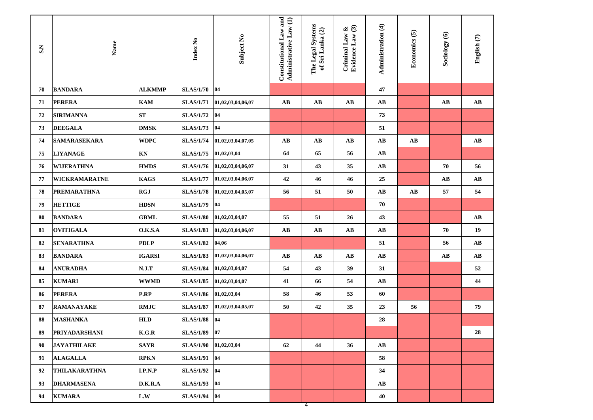| S.S | Name                 |                                    | Index No         | Subject No        | Constitutional Law and<br>Administrative Law (1) | The Legal Systems<br>of Sri Lanka (2) | Evidence Law (3)<br>Criminal Law $\&$ | Administration (4)     | Economics (5)          | Sociology (6) | English (7)            |
|-----|----------------------|------------------------------------|------------------|-------------------|--------------------------------------------------|---------------------------------------|---------------------------------------|------------------------|------------------------|---------------|------------------------|
| 70  | <b>BANDARA</b>       | <b>ALKMMP</b>                      | <b>SLAS/1/70</b> | 04                |                                                  |                                       |                                       | 47                     |                        |               |                        |
| 71  | <b>PERERA</b>        | <b>KAM</b>                         | <b>SLAS/1/71</b> | 01,02,03,04,06,07 | $\mathbf{A}\mathbf{B}$                           | AB                                    | $\mathbf{A}\mathbf{B}$                | AB                     |                        | AB            | AB                     |
| 72  | <b>SIRIMANNA</b>     | ${\bf ST}$                         | <b>SLAS/1/72</b> | 04                |                                                  |                                       |                                       | 73                     |                        |               |                        |
| 73  | <b>DEEGALA</b>       | <b>DMSK</b>                        | <b>SLAS/1/73</b> | 04                |                                                  |                                       |                                       | 51                     |                        |               |                        |
| 74  | <b>SAMARASEKARA</b>  | <b>WDPC</b>                        | <b>SLAS/1/74</b> | 01,02,03,04,07,05 | $\mathbf{A}\mathbf{B}$                           | AB                                    | $\mathbf{A}\mathbf{B}$                | $\mathbf{A}\mathbf{B}$ | $\mathbf{A}\mathbf{B}$ |               | $\mathbf{A}\mathbf{B}$ |
| 75  | <b>LIYANAGE</b>      | KN                                 | <b>SLAS/1/75</b> | 01,02,03,04       | 64                                               | 65                                    | 56                                    | $\mathbf{A}\mathbf{B}$ |                        |               |                        |
| 76  | <b>WIJERATHNA</b>    | <b>HMDS</b>                        | <b>SLAS/1/76</b> | 01,02,03,04,06,07 | 31                                               | 43                                    | 35                                    | $\mathbf{A}\mathbf{B}$ |                        | 70            | 56                     |
| 77  | <b>WICKRAMARATNE</b> | <b>KAGS</b>                        | <b>SLAS/1/77</b> | 01,02,03,04,06,07 | 42                                               | 46                                    | 46                                    | 25                     |                        | AB            | AВ                     |
| 78  | <b>PREMARATHNA</b>   | <b>RGJ</b>                         | <b>SLAS/1/78</b> | 01,02,03,04,05,07 | 56                                               | 51                                    | 50                                    | $\mathbf{A}\mathbf{B}$ | $\mathbf{A}\mathbf{B}$ | 57            | 54                     |
| 79  | <b>HETTIGE</b>       | <b>HDSN</b>                        | <b>SLAS/1/79</b> | 04                |                                                  |                                       |                                       | 70                     |                        |               |                        |
| 80  | <b>BANDARA</b>       | <b>GBML</b>                        | <b>SLAS/1/80</b> | 01,02,03,04,07    | 55                                               | 51                                    | 26                                    | 43                     |                        |               | AB                     |
| 81  | <b>OVITIGALA</b>     | O.K.S.A                            | <b>SLAS/1/81</b> | 01,02,03,04,06,07 | $\mathbf{A}\mathbf{B}$                           | $\mathbf{A}\mathbf{B}$                | $\mathbf{A}\mathbf{B}$                | $\mathbf{A}\mathbf{B}$ |                        | 70            | 19                     |
| 82  | <b>SENARATHNA</b>    | <b>PDLP</b>                        | <b>SLAS/1/82</b> | 04,06             |                                                  |                                       |                                       | 51                     |                        | 56            | AВ                     |
| 83  | <b>BANDARA</b>       | <b>IGARSI</b>                      | <b>SLAS/1/83</b> | 01,02,03,04,06,07 | AB                                               | AB                                    | AВ                                    | AB                     |                        | AB            | AВ                     |
| 84  | <b>ANURADHA</b>      | N.J.T                              | <b>SLAS/1/84</b> | 01,02,03,04,07    | 54                                               | 43                                    | 39                                    | 31                     |                        |               | 52                     |
| 85  | <b>KUMARI</b>        | <b>WWMD</b>                        | <b>SLAS/1/85</b> | 01,02,03,04,07    | 41                                               | 66                                    | 54                                    | $\mathbf{A}\mathbf{B}$ |                        |               | 44                     |
| 86  | <b>PERERA</b>        | P.RP                               | <b>SLAS/1/86</b> | 01,02,03,04       | 58                                               | 46                                    | 53                                    | 60                     |                        |               |                        |
| 87  | <b>RAMANAYAKE</b>    | <b>RMJC</b>                        | <b>SLAS/1/87</b> | 01,02,03,04,05,07 | 50                                               | 42                                    | 35                                    | 23                     | 56                     |               | 79                     |
| 88  | <b>MASHANKA</b>      | <b>HLD</b>                         | <b>SLAS/1/88</b> | 04                |                                                  |                                       |                                       | 28                     |                        |               |                        |
| 89  | PRIYADARSHANI        | $\mathbf{K}.\mathbf{G}.\mathbf{R}$ | SLAS/1/89 07     |                   |                                                  |                                       |                                       |                        |                        |               | 28                     |
| 90  | <b>JAYATHILAKE</b>   | <b>SAYR</b>                        | <b>SLAS/1/90</b> | 01,02,03,04       | 62                                               | 44                                    | 36                                    | $\mathbf{A}\mathbf{B}$ |                        |               |                        |
| 91  | <b>ALAGALLA</b>      | <b>RPKN</b>                        | <b>SLAS/1/91</b> | 04                |                                                  |                                       |                                       | 58                     |                        |               |                        |
| 92  | <b>THILAKARATHNA</b> | I.P.N.P                            | <b>SLAS/1/92</b> | 04                |                                                  |                                       |                                       | 34                     |                        |               |                        |
| 93  | <b>DHARMASENA</b>    | D.K.R.A                            | <b>SLAS/1/93</b> | 04                |                                                  |                                       |                                       | $\mathbf{A}\mathbf{B}$ |                        |               |                        |
| 94  | <b>KUMARA</b>        | L.W                                | <b>SLAS/1/94</b> | 04                |                                                  | 4                                     |                                       | 40                     |                        |               |                        |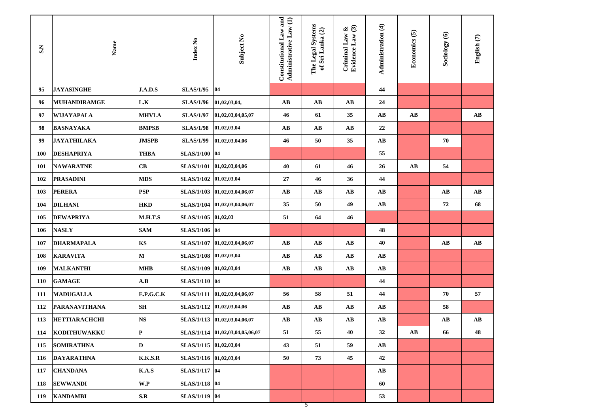| $\mathbf{S}$ | Name                 |                | Index No               | Subject No                      | Constitutional Law and<br>Administrative Law (1) | The Legal Systems<br>of Sri Lanka (2) | Evidence Law (3)<br>Criminal Law & | Administration (4)     | Economics (5)          | Sociology (6)          | English <sup>(7)</sup> |
|--------------|----------------------|----------------|------------------------|---------------------------------|--------------------------------------------------|---------------------------------------|------------------------------------|------------------------|------------------------|------------------------|------------------------|
| 95           | <b>JAYASINGHE</b>    | J.A.D.S        | <b>SLAS/1/95</b>       | 04                              |                                                  |                                       |                                    | 44                     |                        |                        |                        |
| 96           | <b>MUHANDIRAMGE</b>  | L.K            | <b>SLAS/1/96</b>       | 01,02,03,04,                    | $\mathbf{A}\mathbf{B}$                           | $\mathbf{A}\mathbf{B}$                | $\mathbf{A}\mathbf{B}$             | 24                     |                        |                        |                        |
| 97           | WIJAYAPALA           | <b>MHVLA</b>   | <b>SLAS/1/97</b>       | 01,02,03,04,05,07               | 46                                               | 61                                    | 35                                 | $\mathbf{A}\mathbf{B}$ | $\mathbf{A}\mathbf{B}$ |                        | $\mathbf{A}\mathbf{B}$ |
| 98           | <b>BASNAYAKA</b>     | <b>BMPSB</b>   | <b>SLAS/1/98</b>       | 01,02,03,04                     | AB                                               | $\mathbf{A}\mathbf{B}$                | $\mathbf{A}\mathbf{B}$             | 22                     |                        |                        |                        |
| 99           | <b>JAYATHILAKA</b>   | <b>JMSPB</b>   | <b>SLAS/1/99</b>       | 01,02,03,04,06                  | 46                                               | 50                                    | 35                                 | $\mathbf{A}\mathbf{B}$ |                        | 70                     |                        |
| 100          | <b>DESHAPRIYA</b>    | <b>THBA</b>    | <b>SLAS/1/100</b>      | 04                              |                                                  |                                       |                                    | 55                     |                        |                        |                        |
| 101          | <b>NAWARATNE</b>     | CB             | <b>SLAS/1/101</b>      | 01,02,03,04,06                  | 40                                               | 61                                    | 46                                 | 26                     | $\mathbf{A}\mathbf{B}$ | 54                     |                        |
| 102          | <b>PRASADINI</b>     | <b>MDS</b>     | <b>SLAS/1/102</b>      | 01,02,03,04                     | 27                                               | 46                                    | 36                                 | 44                     |                        |                        |                        |
| 103          | <b>PERERA</b>        | <b>PSP</b>     | <b>SLAS/1/103</b>      | 01,02,03,04,06,07               | $\mathbf{A}\mathbf{B}$                           | AB                                    | $\mathbf{A}\mathbf{B}$             | $\mathbf{A}\mathbf{B}$ |                        | $\mathbf{A}\mathbf{B}$ | AВ                     |
| 104          | <b>DILHANI</b>       | <b>HKD</b>     | <b>SLAS/1/104</b>      | 01,02,03,04,06,07               | 35                                               | 50                                    | 49                                 | $\mathbf{A}\mathbf{B}$ |                        | 72                     | 68                     |
| 105          | <b>DEWAPRIYA</b>     | M.H.T.S        | <b>SLAS/1/105</b>      | 01,02,03                        | 51                                               | 64                                    | 46                                 |                        |                        |                        |                        |
| 106          | <b>NASLY</b>         | <b>SAM</b>     | SLAS/1/106 04          |                                 |                                                  |                                       |                                    | 48                     |                        |                        |                        |
| 107          | <b>DHARMAPALA</b>    | KS             | <b>SLAS/1/107</b>      | 01,02,03,04,06,07               | AB                                               | AB                                    | $\mathbf{A}\mathbf{B}$             | 40                     |                        | $\mathbf{A}\mathbf{B}$ | $\mathbf{A}\mathbf{B}$ |
| 108          | <b>KARAVITA</b>      | $\mathbf{M}$   | <b>SLAS/1/108</b>      | 01,02,03,04                     | AB                                               | AB                                    | $\mathbf{A}\mathbf{B}$             | $\mathbf{A}\mathbf{B}$ |                        |                        |                        |
| 109          | <b>MALKANTHI</b>     | <b>MHB</b>     | <b>SLAS/1/109</b>      | 01,02,03,04                     | $\mathbf{A}\mathbf{B}$                           | $\mathbf{A}\mathbf{B}$                | $\mathbf{A}\mathbf{B}$             | $\mathbf{A}\mathbf{B}$ |                        |                        |                        |
| 110          | <b>GAMAGE</b>        | A.B            | SLAS/1/110 04          |                                 |                                                  |                                       |                                    | 44                     |                        |                        |                        |
| 111          | <b>MADUGALLA</b>     | E.P.G.C.K      | <b>SLAS/1/111</b>      | 01,02,03,04,06,07               | 56                                               | 58                                    | 51                                 | 44                     |                        | 70                     | 57                     |
| 112          | <b>PARANAVITHANA</b> | <b>SH</b>      | <b>SLAS/1/112</b>      | 01,02,03,04,06                  | $\mathbf{A}\mathbf{B}$                           | $\mathbf{A}\mathbf{B}$                | $\mathbf{A}\mathbf{B}$             | $\mathbf{A}\mathbf{B}$ |                        | 58                     |                        |
| 113          | <b>HETTIARACHCHI</b> | <b>NS</b>      | <b>SLAS/1/113</b>      | 01,02,03,04,06,07               | $\mathbf{A}\mathbf{B}$                           | $\mathbf{A}\mathbf{B}$                | $\mathbf{A}\mathbf{B}$             | $\mathbf{A}\mathbf{B}$ |                        | $\mathbf{A}\mathbf{B}$ | AВ                     |
| 114          | KODITHUWAKKU         | $\mathbf P$    |                        | SLAS/1/114 01,02,03,04,05,06,07 | 51                                               | 55                                    | 40                                 | 32                     | AB                     | 66                     | 48                     |
| 115          | <b>SOMIRATHNA</b>    | $\mathbf D$    | SLAS/1/115 01,02,03,04 |                                 | 43                                               | 51                                    | 59                                 | $\mathbf{A}\mathbf{B}$ |                        |                        |                        |
| 116          | <b>DAYARATHNA</b>    | <b>K.K.S.R</b> | SLAS/1/116 01,02,03,04 |                                 | 50                                               | 73                                    | 45                                 | 42                     |                        |                        |                        |
| 117          | <b>CHANDANA</b>      | K.A.S          | SLAS/1/117 04          |                                 |                                                  |                                       |                                    | $\mathbf{A}\mathbf{B}$ |                        |                        |                        |
| 118          | <b>SEWWANDI</b>      | W.P            | SLAS/1/118 04          |                                 |                                                  |                                       |                                    | 60                     |                        |                        |                        |
| 119          | <b>KANDAMBI</b>      | S.R            | SLAS/1/119 04          |                                 |                                                  |                                       |                                    | 53                     |                        |                        |                        |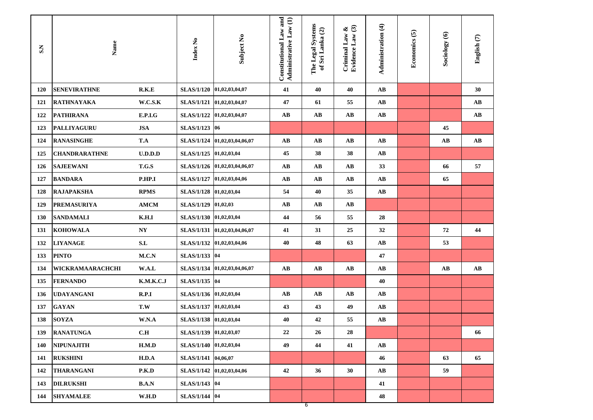| SN         | $\mathbf{Name}$      |              | Index No               | Subject No                    | Constitutional Law and<br>Administrative Law (1) | The Legal Systems<br>of Sri Lanka (2) | Evidence Law (3)<br>Criminal Law $\&$ | Administration (4)     | Economics (5) | Sociology (6)          | English (7)            |
|------------|----------------------|--------------|------------------------|-------------------------------|--------------------------------------------------|---------------------------------------|---------------------------------------|------------------------|---------------|------------------------|------------------------|
| <b>120</b> | <b>SENEVIRATHNE</b>  | R.K.E        |                        | SLAS/1/120 01,02,03,04,07     | 41                                               | 40                                    | 40                                    | AB                     |               |                        | 30                     |
| 121        | <b>RATHNAYAKA</b>    | W.C.S.K      |                        | SLAS/1/121   01,02,03,04,07   | 47                                               | 61                                    | 55                                    | AB                     |               |                        | AB                     |
| 122        | <b>PATHIRANA</b>     | E.P.I.G      |                        | SLAS/1/122 01,02,03,04,07     | AB                                               | AВ                                    | $\mathbf{A}\mathbf{B}$                | $\mathbf{A}\mathbf{B}$ |               |                        | AВ                     |
| 123        | <b>PALLIYAGURU</b>   | <b>JSA</b>   | SLAS/1/123 06          |                               |                                                  |                                       |                                       |                        |               | 45                     |                        |
| 124        | <b>RANASINGHE</b>    | T.A          |                        | SLAS/1/124 01,02,03,04,06,07  | AB                                               | AB                                    | AB                                    | AB                     |               | $\mathbf{A}\mathbf{B}$ | $\mathbf{A}\mathbf{B}$ |
| 125        | <b>CHANDRARATHNE</b> | U.D.D.D      | <b>SLAS/1/125</b>      | 01,02,03,04                   | 45                                               | 38                                    | 38                                    | AB                     |               |                        |                        |
| 126        | <b>SAJEEWANI</b>     | T.G.S        |                        | SLAS/1/126 01,02,03,04,06,07  | AB                                               | AВ                                    | $\mathbf{A}\mathbf{B}$                | 33                     |               | 66                     | 57                     |
| 127        | <b>BANDARA</b>       | P.HP.I       |                        | SLAS/1/127   01,02,03,04,06   | AB                                               | AB                                    | $\mathbf{A}\mathbf{B}$                | AB                     |               | 65                     |                        |
| 128        | <b>RAJAPAKSHA</b>    | <b>RPMS</b>  | SLAS/1/128 01,02,03,04 |                               | 54                                               | 40                                    | 35                                    | $\mathbf{A}\mathbf{B}$ |               |                        |                        |
| 129        | <b>PREMASURIYA</b>   | <b>AMCM</b>  | SLAS/1/129   01,02,03  |                               | AВ                                               | AВ                                    | AВ                                    |                        |               |                        |                        |
| <b>130</b> | <b>SANDAMALI</b>     | K.H.I        | SLAS/1/130 01,02,03,04 |                               | 44                                               | 56                                    | 55                                    | 28                     |               |                        |                        |
| 131        | <b>KOHOWALA</b>      | NY           |                        | SLAS/1/131  01,02,03,04,06,07 | 41                                               | 31                                    | 25                                    | 32                     |               | 72                     | 44                     |
| 132        | <b>LIYANAGE</b>      | S.L          | <b>SLAS/1/132</b>      | 01,02,03,04,06                | 40                                               | 48                                    | 63                                    | AB                     |               | 53                     |                        |
| 133        | <b>PINTO</b>         | M.C.N        | SLAS/1/133 04          |                               |                                                  |                                       |                                       | 47                     |               |                        |                        |
| 134        | WICKRAMAARACHCHI     | W.A.L        | <b>SLAS/1/134</b>      | 01,02,03,04,06,07             | AB                                               | AВ                                    | $\mathbf{A}\mathbf{B}$                | AB                     |               | AB                     | AВ                     |
| 135        | <b>FERNANDO</b>      | K.M.K.C.J    | SLAS/1/135 04          |                               |                                                  |                                       |                                       | 40                     |               |                        |                        |
| 136        | <b>UDAYANGANI</b>    | R.P.I        | SLAS/1/136 01,02,03,04 |                               | AB                                               | AВ                                    | $\mathbf{A}\mathbf{B}$                | AB                     |               |                        |                        |
| 137        | <b>GAYAN</b>         | T.W          | <b>SLAS/1/137</b>      | 01,02,03,04                   | 43                                               | 43                                    | 49                                    | AB                     |               |                        |                        |
| 138        | <b>SOYZA</b>         | W.N.A        | <b>SLAS/1/138</b>      | 01,02,03,04                   | 40                                               | 42                                    | 55                                    | $\mathbf{A}\mathbf{B}$ |               |                        |                        |
| 139        | <b>RANATUNGA</b>     | C.H          | SLAS/1/139 01,02,03,07 |                               | 22                                               | 26                                    | 28                                    |                        |               |                        | 66                     |
| 140        | <b>NIPUNAJITH</b>    | H.M.D        | SLAS/1/140 01,02,03,04 |                               | 49                                               | 44                                    | 41                                    | $\mathbf{A}\mathbf{B}$ |               |                        |                        |
| 141        | <b>RUKSHINI</b>      | H.D.A        | SLAS/1/141 04,06,07    |                               |                                                  |                                       |                                       | 46                     |               | 63                     | 65                     |
| 142        | <b>THARANGANI</b>    | P.K.D        |                        | SLAS/1/142 01,02,03,04,06     | 42                                               | 36                                    | 30                                    | $\mathbf{A}\mathbf{B}$ |               | 59                     |                        |
| 143        | <b>DILRUKSHI</b>     | <b>B.A.N</b> | SLAS/1/143 04          |                               |                                                  |                                       |                                       | 41                     |               |                        |                        |
| 144        | <b>SHYAMALEE</b>     | W.H.D        | SLAS/1/144 04          |                               |                                                  |                                       |                                       | 48                     |               |                        |                        |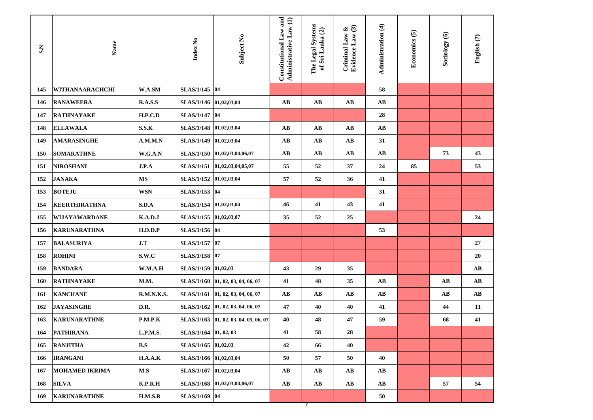| SN  | Name                  |                   | Index No               | Subject No                     | Constitutional Law and<br>Administrative Law (1) | The Legal Systems<br>of Sri Lanka (2) | Evidence Law (3)<br>Criminal Law & | Administration (4)     | Economics (5) | Sociology (6)          | English (7) |
|-----|-----------------------|-------------------|------------------------|--------------------------------|--------------------------------------------------|---------------------------------------|------------------------------------|------------------------|---------------|------------------------|-------------|
| 145 | WITHANAARACHCHI       | W.A.SM            | SLAS/1/145 04          |                                |                                                  |                                       |                                    | 58                     |               |                        |             |
| 146 | <b>RANAWEERA</b>      | R.A.S.S           | SLAS/1/146 01,02,03,04 |                                | $\mathbf{A}\mathbf{B}$                           | AB                                    | $\mathbf{A}\mathbf{B}$             | AB                     |               |                        |             |
| 147 | <b>RATHNAYAKE</b>     | H.P.C.D           | SLAS/1/147 04          |                                |                                                  |                                       |                                    | 28                     |               |                        |             |
| 148 | <b>ELLAWALA</b>       | S.S.K             | <b>SLAS/1/148</b>      | 01,02,03,04                    | $\mathbf{A}\mathbf{B}$                           | AB                                    | $\mathbf{A}\mathbf{B}$             | $\mathbf{A}\mathbf{B}$ |               |                        |             |
| 149 | <b>AMARASINGHE</b>    | A.M.M.N           | <b>SLAS/1/149</b>      | 01,02,03,04                    | $\mathbf{A}\mathbf{B}$                           | AB                                    | AB                                 | 31                     |               |                        |             |
| 150 | <b>SOMARATHNE</b>     | W.G.A.N           |                        | SLAS/1/150   01,02,03,04,06,07 | $\mathbf{A}\mathbf{B}$                           | AB                                    | AB                                 | $\mathbf{A}\mathbf{B}$ |               | 73                     | 43          |
| 151 | <b>NIROSHANI</b>      | J.P.A             |                        | SLAS/1/151 01,02,03,04,05,07   | 55                                               | 52                                    | 37                                 | 24                     | 85            |                        | 53          |
| 152 | <b>JANAKA</b>         | <b>MS</b>         | SLAS/1/152 01,02,03,04 |                                | 57                                               | 52                                    | 36                                 | 41                     |               |                        |             |
| 153 | <b>BOTEJU</b>         | <b>WSN</b>        | SLAS/1/153 04          |                                |                                                  |                                       |                                    | 31                     |               |                        |             |
| 154 | <b>KEERTHIRATHNA</b>  | S.D.A             | <b>SLAS/1/154</b>      | 01,02,03,04                    | 46                                               | 41                                    | 43                                 | 41                     |               |                        |             |
| 155 | <b>WIJAYAWARDANE</b>  | K.A.D.J           | SLAS/1/155 01,02,03,07 |                                | 35                                               | 52                                    | 25                                 |                        |               |                        | 24          |
| 156 | <b>KARUNARATHNA</b>   | H.D.D.P           | SLAS/1/156 04          |                                |                                                  |                                       |                                    | 53                     |               |                        |             |
| 157 | <b>BALASURIYA</b>     | J.T               | SLAS/1/157 07          |                                |                                                  |                                       |                                    |                        |               |                        | 27          |
| 158 | <b>ROHINI</b>         | S.W.C             | SLAS/1/158 07          |                                |                                                  |                                       |                                    |                        |               |                        | 20          |
| 159 | <b>BANDARA</b>        | W.M.A.H           | SLAS/1/159 01,02,03    |                                | 43                                               | 29                                    | 35                                 |                        |               |                        | AВ          |
| 160 | <b>RATHNAYAKE</b>     | M.M.              | <b>SLAS/1/160</b>      | 01, 02, 03, 04, 06, 07         | 41                                               | 48                                    | 35                                 | AB                     |               | $\mathbf{A}\mathbf{B}$ | AВ          |
| 161 | <b>KANCHANE</b>       | <b>R.M.N.K.S.</b> | <b>SLAS/1/161</b>      | 01, 02, 03, 04, 06, 07         | $\mathbf{A}\mathbf{B}$                           | $\mathbf{A}\mathbf{B}$                | AB                                 | AB                     |               | AB                     | AВ          |
| 162 | <b>JAYASINGHE</b>     | D.R.              | <b>SLAS/1/162</b>      | 01, 02, 03, 04, 06, 07         | 47                                               | 40                                    | 40                                 | 41                     |               | 44                     | 11          |
| 163 | <b>KARUNARATHNE</b>   | P.M.P.K           | <b>SLAS/1/163</b>      | 01, 02, 03, 04, 05, 06, 07     | 40                                               | 48                                    | 47                                 | 59                     |               | 68                     | 41          |
| 164 | <b>PATHIRANA</b>      | L.P.M.S.          | SLAS/1/164 01, 02, 03  |                                | 41                                               | 58                                    | 28                                 |                        |               |                        |             |
| 165 | <b>RANJITHA</b>       | B.S               | SLAS/1/165 01,02,03    |                                | 42                                               | 66                                    | 40                                 |                        |               |                        |             |
| 166 | <b>IRANGANI</b>       | H.A.A.K           | SLAS/1/166 01,02,03,04 |                                | 50                                               | 57                                    | 50                                 | 40                     |               |                        |             |
| 167 | <b>MOHAMED IKRIMA</b> | $\mathbf{M.S}$    | SLAS/1/167 01,02,03,04 |                                | $\mathbf{A}\mathbf{B}$                           | $\mathbf{A}\mathbf{B}$                | $\mathbf{A}\mathbf{B}$             | $\mathbf{A}\mathbf{B}$ |               |                        |             |
| 168 | <b>SILVA</b>          | K.P.R.H           | <b>SLAS/1/168</b>      | 01,02,03,04,06,07              | $\mathbf{A}\mathbf{B}$                           | $\mathbf{A}\mathbf{B}$                | $\mathbf{A}\mathbf{B}$             | $\mathbf{A}\mathbf{B}$ |               | 57                     | 54          |
| 169 | <b>KARUNARATHNE</b>   | H.M.S.R           | SLAS/1/169 04          |                                |                                                  | $\overline{7}$                        |                                    | 50                     |               |                        |             |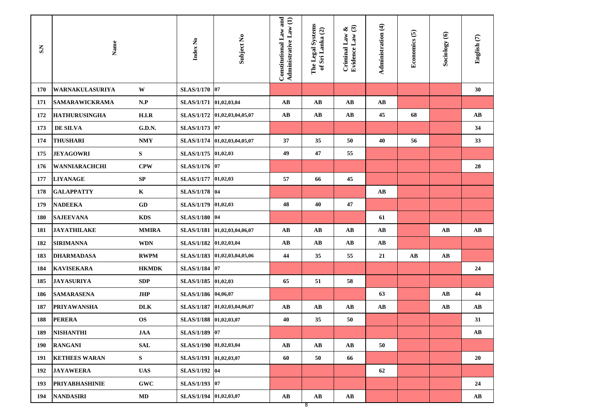| SN         | Name                   |               | Index No               | Subject No                   | Constitutional Law and<br>Administrative Law (1) | The Legal Systems<br>of Sri Lanka (2) | Evidence Law (3)<br>Criminal Law $\&$ | Administration (4)     | Economics (5)          | Sociology (6)          | English (7)            |
|------------|------------------------|---------------|------------------------|------------------------------|--------------------------------------------------|---------------------------------------|---------------------------------------|------------------------|------------------------|------------------------|------------------------|
| 170        | <b>WARNAKULASURIYA</b> | W             | SLAS/1/170 07          |                              |                                                  |                                       |                                       |                        |                        |                        | 30                     |
| 171        | <b>SAMARAWICKRAMA</b>  | N.P           | SLAS/1/171 01,02,03,04 |                              | AB                                               | $\mathbf{A}\mathbf{B}$                | AB                                    | $\mathbf{A}\mathbf{B}$ |                        |                        |                        |
| 172        | <b>HATHURUSINGHA</b>   | H.I.R         |                        | SLAS/1/172 01,02,03,04,05,07 | $\mathbf{A}\mathbf{B}$                           | $\mathbf{A}\mathbf{B}$                | $\mathbf{A}\mathbf{B}$                | 45                     | 68                     |                        | AB                     |
| 173        | DE SILVA               | <b>G.D.N.</b> | SLAS/1/173 07          |                              |                                                  |                                       |                                       |                        |                        |                        | 34                     |
| 174        | <b>THUSHARI</b>        | <b>NMY</b>    |                        | SLAS/1/174 01,02,03,04,05,07 | 37                                               | 35                                    | 50                                    | 40                     | 56                     |                        | 33                     |
| 175        | <b>JEYAGOWRI</b>       | S             | SLAS/1/175 01,02,03    |                              | 49                                               | 47                                    | 55                                    |                        |                        |                        |                        |
| 176        | WANNIARACHCHI          | <b>CPW</b>    | SLAS/1/176 07          |                              |                                                  |                                       |                                       |                        |                        |                        | 28                     |
| 177        | <b>LIYANAGE</b>        | SP            | SLAS/1/177 01,02,03    |                              | 57                                               | 66                                    | 45                                    |                        |                        |                        |                        |
| 178        | <b>GALAPPATTY</b>      | $\mathbf{K}$  | SLAS/1/178 04          |                              |                                                  |                                       |                                       | $\mathbf{A}\mathbf{B}$ |                        |                        |                        |
| 179        | <b>NADEEKA</b>         | GD            | SLAS/1/179 01,02,03    |                              | 48                                               | 40                                    | 47                                    |                        |                        |                        |                        |
| <b>180</b> | <b>SAJEEVANA</b>       | <b>KDS</b>    | SLAS/1/180 04          |                              |                                                  |                                       |                                       | 61                     |                        |                        |                        |
| 181        | <b>JAYATHILAKE</b>     | <b>MMIRA</b>  |                        | SLAS/1/181 01,02,03,04,06,07 | AB                                               | AB                                    | AB                                    | AB                     |                        | AB                     | AB                     |
| 182        | <b>SIRIMANNA</b>       | <b>WDN</b>    | <b>SLAS/1/182</b>      | 01,02,03,04                  | AB                                               | AB                                    | AB                                    | $\mathbf{A}\mathbf{B}$ |                        |                        |                        |
| 183        | <b>DHARMADASA</b>      | <b>RWPM</b>   |                        | SLAS/1/183 01,02,03,04,05,06 | 44                                               | 35                                    | 55                                    | 21                     | $\mathbf{A}\mathbf{B}$ | $\mathbf{A}\mathbf{B}$ |                        |
| 184        | <b>KAVISEKARA</b>      | <b>HKMDK</b>  | <b>SLAS/1/184</b>      | $ 07\rangle$                 |                                                  |                                       |                                       |                        |                        |                        | 24                     |
| 185        | <b>JAYASURIYA</b>      | <b>SDP</b>    | <b>SLAS/1/185</b>      | 01,02,03                     | 65                                               | 51                                    | 58                                    |                        |                        |                        |                        |
| 186        | <b>SAMARASENA</b>      | <b>JHP</b>    | <b>SLAS/1/186</b>      | 04,06,07                     |                                                  |                                       |                                       | 63                     |                        | $\mathbf{A}\mathbf{B}$ | 44                     |
| 187        | <b>PRIYAWANSHA</b>     | <b>DLK</b>    | <b>SLAS/1/187</b>      | 01,02,03,04,06,07            | AB                                               | AB                                    | AB                                    | $\mathbf{A}\mathbf{B}$ |                        | $\mathbf{A}\mathbf{B}$ | $\mathbf{A}\mathbf{B}$ |
| 188        | <b>PERERA</b>          | <b>OS</b>     | <b>SLAS/1/188</b>      | 01,02,03,07                  | 40                                               | 35                                    | 50                                    |                        |                        |                        | 31                     |
| 189        | <b>NISHANTHI</b>       | <b>JAA</b>    | SLAS/1/189 07          |                              |                                                  |                                       |                                       |                        |                        |                        | AВ                     |
| 190        | <b>RANGANI</b>         | <b>SAL</b>    | SLAS/1/190 01,02,03,04 |                              | AB                                               | $\mathbf{A}\mathbf{B}$                | $\mathbf{A}\mathbf{B}$                | 50                     |                        |                        |                        |
| 191        | <b>KETHEES WARAN</b>   | S             | SLAS/1/191 01,02,03,07 |                              | 60                                               | 50                                    | 66                                    |                        |                        |                        | 20                     |
| 192        | <b>JAYAWEERA</b>       | <b>UAS</b>    | SLAS/1/192 04          |                              |                                                  |                                       |                                       | 62                     |                        |                        |                        |
| 193        | <b>PRIYABHASHINIE</b>  | <b>GWC</b>    | SLAS/1/193 07          |                              |                                                  |                                       |                                       |                        |                        |                        | 24                     |
| 194        | <b>NANDASIRI</b>       | MD            | SLAS/1/194 01,02,03,07 |                              | AB                                               | $\mathbf{A}\mathbf{B}$<br>8           | $\mathbf{A}\mathbf{B}$                |                        |                        |                        | $\mathbf{A}\mathbf{B}$ |